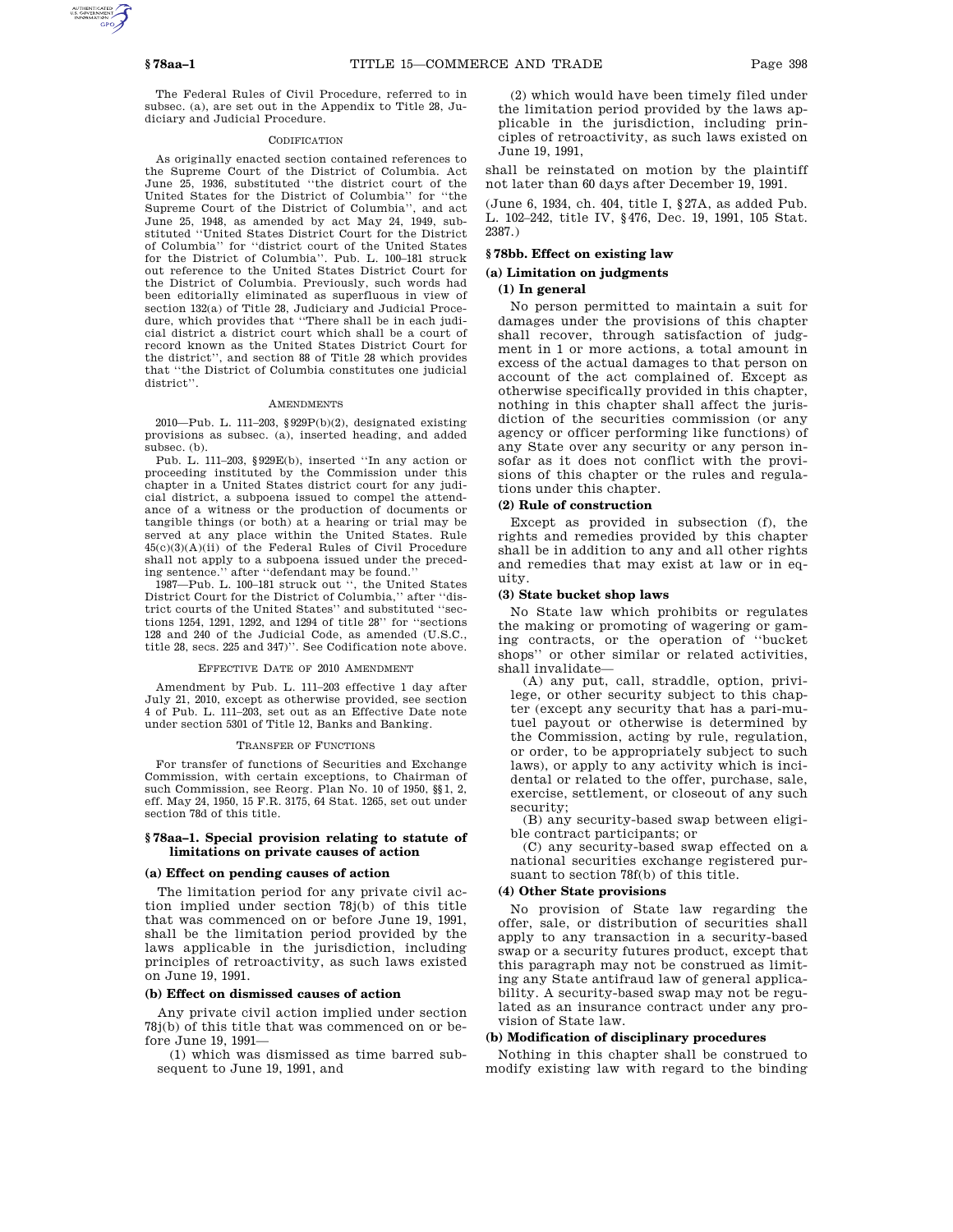The Federal Rules of Civil Procedure, referred to in subsec. (a), are set out in the Appendix to Title 28, Judiciary and Judicial Procedure.

#### CODIFICATION

As originally enacted section contained references to the Supreme Court of the District of Columbia. Act June 25, 1936, substituted ''the district court of the United States for the District of Columbia'' for ''the Supreme Court of the District of Columbia'', and act June 25, 1948, as amended by act May 24, 1949, substituted ''United States District Court for the District of Columbia'' for ''district court of the United States for the District of Columbia''. Pub. L. 100–181 struck out reference to the United States District Court for the District of Columbia. Previously, such words had been editorially eliminated as superfluous in view of section 132(a) of Title 28, Judiciary and Judicial Procedure, which provides that ''There shall be in each judicial district a district court which shall be a court of record known as the United States District Court for the district'', and section 88 of Title 28 which provides that ''the District of Columbia constitutes one judicial district''.

#### AMENDMENTS

2010—Pub. L. 111–203, §929P(b)(2), designated existing provisions as subsec. (a), inserted heading, and added subsec. (b).

Pub. L. 111–203, §929E(b), inserted ''In any action or proceeding instituted by the Commission under this chapter in a United States district court for any judicial district, a subpoena issued to compel the attendance of a witness or the production of documents or tangible things (or both) at a hearing or trial may be served at any place within the United States. Rule 45(c)(3)(A)(ii) of the Federal Rules of Civil Procedure shall not apply to a subpoena issued under the preceding sentence.'' after ''defendant may be found.''

1987—Pub. L. 100–181 struck out '', the United States District Court for the District of Columbia,'' after ''district courts of the United States'' and substituted ''sections 1254, 1291, 1292, and 1294 of title 28'' for ''sections 128 and 240 of the Judicial Code, as amended (U.S.C., title 28, secs. 225 and 347)''. See Codification note above.

### EFFECTIVE DATE OF 2010 AMENDMENT

Amendment by Pub. L. 111–203 effective 1 day after July 21, 2010, except as otherwise provided, see section 4 of Pub. L. 111–203, set out as an Effective Date note under section 5301 of Title 12, Banks and Banking.

#### TRANSFER OF FUNCTIONS

For transfer of functions of Securities and Exchange Commission, with certain exceptions, to Chairman of such Commission, see Reorg. Plan No. 10 of 1950, §§1, 2, eff. May 24, 1950, 15 F.R. 3175, 64 Stat. 1265, set out under section 78d of this title.

# **§ 78aa–1. Special provision relating to statute of limitations on private causes of action**

### **(a) Effect on pending causes of action**

The limitation period for any private civil action implied under section 78j(b) of this title that was commenced on or before June 19, 1991, shall be the limitation period provided by the laws applicable in the jurisdiction, including principles of retroactivity, as such laws existed on June 19, 1991.

# **(b) Effect on dismissed causes of action**

Any private civil action implied under section 78j(b) of this title that was commenced on or before June 19, 1991—

(1) which was dismissed as time barred subsequent to June 19, 1991, and

(2) which would have been timely filed under the limitation period provided by the laws applicable in the jurisdiction, including principles of retroactivity, as such laws existed on June 19, 1991,

shall be reinstated on motion by the plaintiff not later than 60 days after December 19, 1991.

(June 6, 1934, ch. 404, title I, §27A, as added Pub. L. 102–242, title IV, §476, Dec. 19, 1991, 105 Stat. 2387.)

# **§ 78bb. Effect on existing law**

## **(a) Limitation on judgments**

# **(1) In general**

No person permitted to maintain a suit for damages under the provisions of this chapter shall recover, through satisfaction of judgment in 1 or more actions, a total amount in excess of the actual damages to that person on account of the act complained of. Except as otherwise specifically provided in this chapter, nothing in this chapter shall affect the jurisdiction of the securities commission (or any agency or officer performing like functions) of any State over any security or any person insofar as it does not conflict with the provisions of this chapter or the rules and regulations under this chapter.

### **(2) Rule of construction**

Except as provided in subsection (f), the rights and remedies provided by this chapter shall be in addition to any and all other rights and remedies that may exist at law or in equity.

### **(3) State bucket shop laws**

No State law which prohibits or regulates the making or promoting of wagering or gaming contracts, or the operation of ''bucket shops'' or other similar or related activities, shall invalidate—

(A) any put, call, straddle, option, privilege, or other security subject to this chapter (except any security that has a pari-mutuel payout or otherwise is determined by the Commission, acting by rule, regulation, or order, to be appropriately subject to such laws), or apply to any activity which is incidental or related to the offer, purchase, sale, exercise, settlement, or closeout of any such security;

(B) any security-based swap between eligible contract participants; or

(C) any security-based swap effected on a national securities exchange registered pursuant to section 78f(b) of this title.

# **(4) Other State provisions**

No provision of State law regarding the offer, sale, or distribution of securities shall apply to any transaction in a security-based swap or a security futures product, except that this paragraph may not be construed as limiting any State antifraud law of general applicability. A security-based swap may not be regulated as an insurance contract under any provision of State law.

### **(b) Modification of disciplinary procedures**

Nothing in this chapter shall be construed to modify existing law with regard to the binding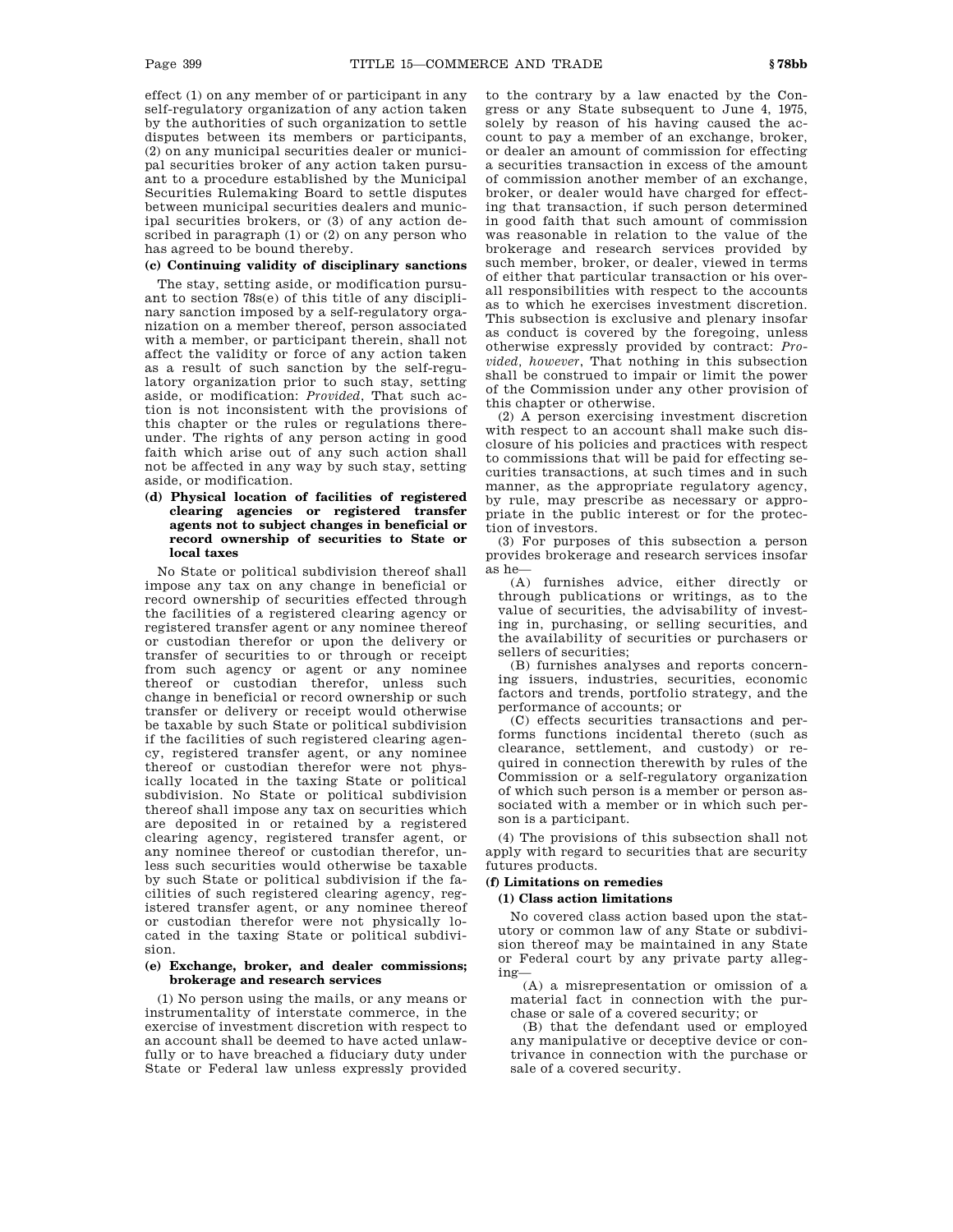effect (1) on any member of or participant in any self-regulatory organization of any action taken by the authorities of such organization to settle disputes between its members or participants, (2) on any municipal securities dealer or municipal securities broker of any action taken pursuant to a procedure established by the Municipal Securities Rulemaking Board to settle disputes between municipal securities dealers and municipal securities brokers, or (3) of any action described in paragraph (1) or (2) on any person who has agreed to be bound thereby.

# **(c) Continuing validity of disciplinary sanctions**

The stay, setting aside, or modification pursuant to section 78s(e) of this title of any disciplinary sanction imposed by a self-regulatory organization on a member thereof, person associated with a member, or participant therein, shall not affect the validity or force of any action taken as a result of such sanction by the self-regulatory organization prior to such stay, setting aside, or modification: *Provided*, That such action is not inconsistent with the provisions of this chapter or the rules or regulations thereunder. The rights of any person acting in good faith which arise out of any such action shall not be affected in any way by such stay, setting aside, or modification.

# **(d) Physical location of facilities of registered clearing agencies or registered transfer agents not to subject changes in beneficial or record ownership of securities to State or local taxes**

No State or political subdivision thereof shall impose any tax on any change in beneficial or record ownership of securities effected through the facilities of a registered clearing agency or registered transfer agent or any nominee thereof or custodian therefor or upon the delivery or transfer of securities to or through or receipt from such agency or agent or any nominee thereof or custodian therefor, unless such change in beneficial or record ownership or such transfer or delivery or receipt would otherwise be taxable by such State or political subdivision if the facilities of such registered clearing agency, registered transfer agent, or any nominee thereof or custodian therefor were not physically located in the taxing State or political subdivision. No State or political subdivision thereof shall impose any tax on securities which are deposited in or retained by a registered clearing agency, registered transfer agent, or any nominee thereof or custodian therefor, unless such securities would otherwise be taxable by such State or political subdivision if the facilities of such registered clearing agency, registered transfer agent, or any nominee thereof or custodian therefor were not physically located in the taxing State or political subdivision.

# **(e) Exchange, broker, and dealer commissions; brokerage and research services**

(1) No person using the mails, or any means or instrumentality of interstate commerce, in the exercise of investment discretion with respect to an account shall be deemed to have acted unlawfully or to have breached a fiduciary duty under State or Federal law unless expressly provided

to the contrary by a law enacted by the Congress or any State subsequent to June 4, 1975, solely by reason of his having caused the account to pay a member of an exchange, broker, or dealer an amount of commission for effecting a securities transaction in excess of the amount of commission another member of an exchange, broker, or dealer would have charged for effecting that transaction, if such person determined in good faith that such amount of commission was reasonable in relation to the value of the brokerage and research services provided by such member, broker, or dealer, viewed in terms of either that particular transaction or his overall responsibilities with respect to the accounts as to which he exercises investment discretion. This subsection is exclusive and plenary insofar as conduct is covered by the foregoing, unless otherwise expressly provided by contract: *Provided, however*, That nothing in this subsection shall be construed to impair or limit the power of the Commission under any other provision of this chapter or otherwise.

(2) A person exercising investment discretion with respect to an account shall make such disclosure of his policies and practices with respect to commissions that will be paid for effecting securities transactions, at such times and in such manner, as the appropriate regulatory agency, by rule, may prescribe as necessary or appropriate in the public interest or for the protection of investors.

(3) For purposes of this subsection a person provides brokerage and research services insofar as he—

(A) furnishes advice, either directly or through publications or writings, as to the value of securities, the advisability of investing in, purchasing, or selling securities, and the availability of securities or purchasers or sellers of securities;

(B) furnishes analyses and reports concerning issuers, industries, securities, economic factors and trends, portfolio strategy, and the performance of accounts; or

(C) effects securities transactions and performs functions incidental thereto (such as clearance, settlement, and custody) or required in connection therewith by rules of the Commission or a self-regulatory organization of which such person is a member or person associated with a member or in which such person is a participant.

(4) The provisions of this subsection shall not apply with regard to securities that are security futures products.

### **(f) Limitations on remedies**

# **(1) Class action limitations**

No covered class action based upon the statutory or common law of any State or subdivision thereof may be maintained in any State or Federal court by any private party alleging—

(A) a misrepresentation or omission of a material fact in connection with the purchase or sale of a covered security; or

(B) that the defendant used or employed any manipulative or deceptive device or contrivance in connection with the purchase or sale of a covered security.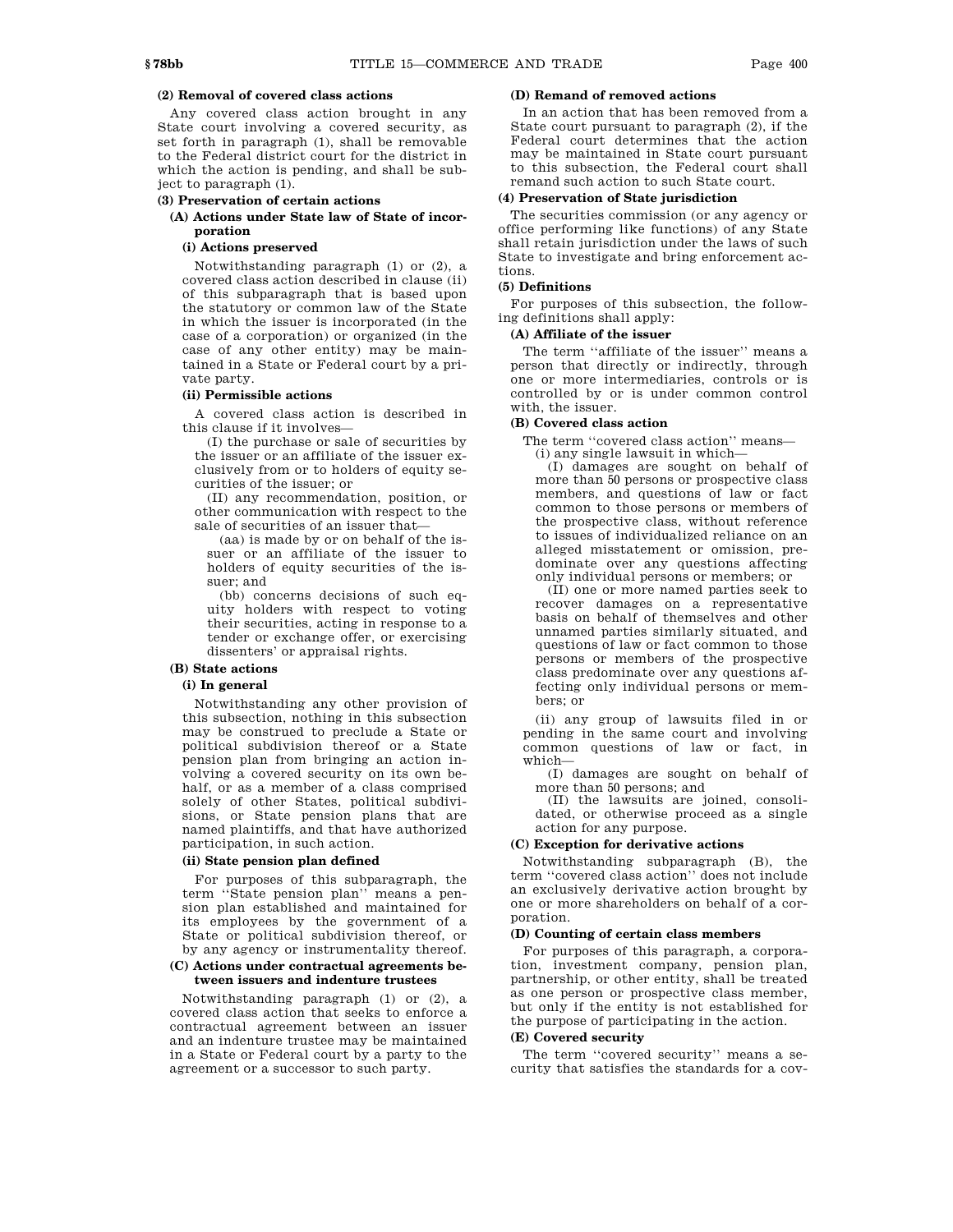# **(2) Removal of covered class actions**

Any covered class action brought in any State court involving a covered security, as set forth in paragraph (1), shall be removable to the Federal district court for the district in which the action is pending, and shall be subject to paragraph (1).

# **(3) Preservation of certain actions**

# **(A) Actions under State law of State of incorporation**

# **(i) Actions preserved**

Notwithstanding paragraph (1) or (2), a covered class action described in clause (ii) of this subparagraph that is based upon the statutory or common law of the State in which the issuer is incorporated (in the case of a corporation) or organized (in the case of any other entity) may be maintained in a State or Federal court by a private party.

# **(ii) Permissible actions**

A covered class action is described in this clause if it involves—

(I) the purchase or sale of securities by the issuer or an affiliate of the issuer exclusively from or to holders of equity securities of the issuer; or

(II) any recommendation, position, or other communication with respect to the sale of securities of an issuer that—

(aa) is made by or on behalf of the issuer or an affiliate of the issuer to holders of equity securities of the issuer; and

(bb) concerns decisions of such equity holders with respect to voting their securities, acting in response to a tender or exchange offer, or exercising dissenters' or appraisal rights.

# **(B) State actions**

# **(i) In general**

Notwithstanding any other provision of this subsection, nothing in this subsection may be construed to preclude a State or political subdivision thereof or a State pension plan from bringing an action involving a covered security on its own behalf, or as a member of a class comprised solely of other States, political subdivisions, or State pension plans that are named plaintiffs, and that have authorized participation, in such action.

## **(ii) State pension plan defined**

For purposes of this subparagraph, the term ''State pension plan'' means a pension plan established and maintained for its employees by the government of a State or political subdivision thereof, or by any agency or instrumentality thereof.

# **(C) Actions under contractual agreements between issuers and indenture trustees**

Notwithstanding paragraph (1) or (2), a covered class action that seeks to enforce a contractual agreement between an issuer and an indenture trustee may be maintained in a State or Federal court by a party to the agreement or a successor to such party.

# **(D) Remand of removed actions**

In an action that has been removed from a State court pursuant to paragraph (2), if the Federal court determines that the action may be maintained in State court pursuant to this subsection, the Federal court shall remand such action to such State court.

# **(4) Preservation of State jurisdiction**

The securities commission (or any agency or office performing like functions) of any State shall retain jurisdiction under the laws of such State to investigate and bring enforcement actions.

# **(5) Definitions**

For purposes of this subsection, the following definitions shall apply:

# **(A) Affiliate of the issuer**

The term ''affiliate of the issuer'' means a person that directly or indirectly, through one or more intermediaries, controls or is controlled by or is under common control with, the issuer.

### **(B) Covered class action**

The term ''covered class action'' means— (i) any single lawsuit in which—

(I) damages are sought on behalf of more than 50 persons or prospective class members, and questions of law or fact common to those persons or members of the prospective class, without reference to issues of individualized reliance on an alleged misstatement or omission, predominate over any questions affecting only individual persons or members; or

(II) one or more named parties seek to recover damages on a representative basis on behalf of themselves and other unnamed parties similarly situated, and questions of law or fact common to those persons or members of the prospective class predominate over any questions affecting only individual persons or members; or

(ii) any group of lawsuits filed in or pending in the same court and involving common questions of law or fact, in which—

(I) damages are sought on behalf of more than 50 persons; and

(II) the lawsuits are joined, consolidated, or otherwise proceed as a single action for any purpose.

# **(C) Exception for derivative actions**

Notwithstanding subparagraph (B), the term ''covered class action'' does not include an exclusively derivative action brought by one or more shareholders on behalf of a corporation.

# **(D) Counting of certain class members**

For purposes of this paragraph, a corporation, investment company, pension plan, partnership, or other entity, shall be treated as one person or prospective class member, but only if the entity is not established for the purpose of participating in the action.

### **(E) Covered security**

The term ''covered security'' means a security that satisfies the standards for a cov